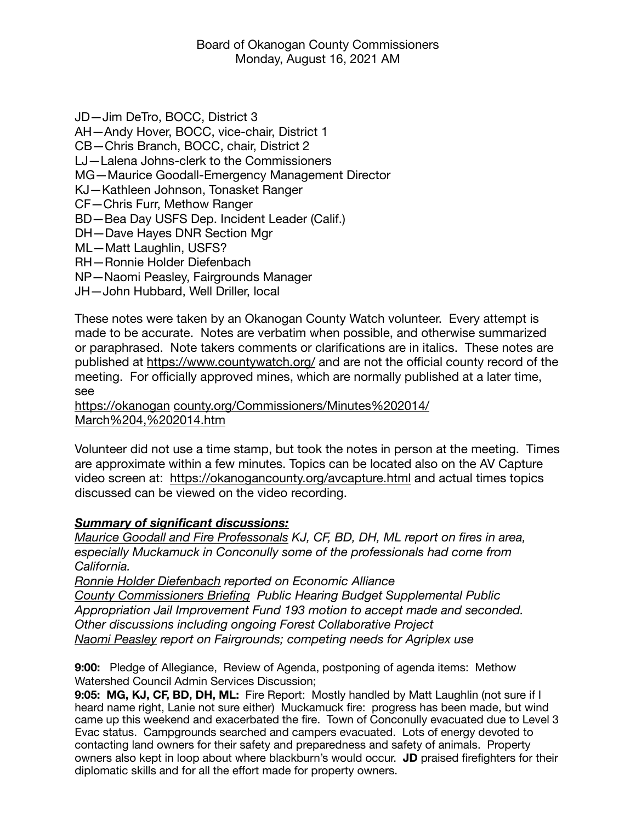JD—Jim DeTro, BOCC, District 3 AH—Andy Hover, BOCC, vice-chair, District 1 CB—Chris Branch, BOCC, chair, District 2 LJ—Lalena Johns-clerk to the Commissioners MG—Maurice Goodall-Emergency Management Director KJ—Kathleen Johnson, Tonasket Ranger CF—Chris Furr, Methow Ranger BD—Bea Day USFS Dep. Incident Leader (Calif.) DH—Dave Hayes DNR Section Mgr ML—Matt Laughlin, USFS? RH—Ronnie Holder Diefenbach NP—Naomi Peasley, Fairgrounds Manager JH—John Hubbard, Well Driller, local

These notes were taken by an Okanogan County Watch volunteer. Every attempt is made to be accurate. Notes are verbatim when possible, and otherwise summarized or paraphrased. Note takers comments or clarifications are in italics. These notes are published at<https://www.countywatch.org/>and are not the official county record of the meeting. For officially approved mines, which are normally published at a later time, see

<https://okanogan> [county.org/Commissioners/Minutes%202014/](http://county.org/Commissioners/Minutes%25202014/March%25204,%25202014.htm) [March%204,%202014.htm](http://county.org/Commissioners/Minutes%25202014/March%25204,%25202014.htm)

Volunteer did not use a time stamp, but took the notes in person at the meeting. Times are approximate within a few minutes. Topics can be located also on the AV Capture video screen at: <https://okanogancounty.org/avcapture.html>and actual times topics discussed can be viewed on the video recording.

## *Summary of significant discussions:*

*Maurice Goodall and Fire Professonals KJ, CF, BD, DH, ML report on fires in area, especially Muckamuck in Conconully some of the professionals had come from California.* 

*Ronnie Holder Diefenbach reported on Economic Alliance County Commissioners Briefing Public Hearing Budget Supplemental Public Appropriation Jail Improvement Fund 193 motion to accept made and seconded. Other discussions including ongoing Forest Collaborative Project Naomi Peasley report on Fairgrounds; competing needs for Agriplex use* 

**9:00:** Pledge of Allegiance, Review of Agenda, postponing of agenda items: Methow Watershed Council Admin Services Discussion;

**9:05: MG, KJ, CF, BD, DH, ML:** Fire Report: Mostly handled by Matt Laughlin (not sure if I heard name right, Lanie not sure either) Muckamuck fire: progress has been made, but wind came up this weekend and exacerbated the fire. Town of Conconully evacuated due to Level 3 Evac status. Campgrounds searched and campers evacuated. Lots of energy devoted to contacting land owners for their safety and preparedness and safety of animals. Property owners also kept in loop about where blackburn's would occur. **JD** praised firefighters for their diplomatic skills and for all the effort made for property owners.